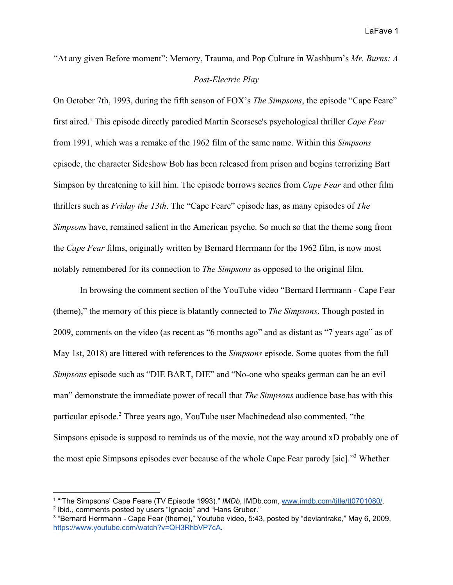"At any given Before moment": Memory, Trauma, and Pop Culture in Washburn's *Mr. Burns: A*

## *Post-Electric Play*

On October 7th, 1993, during the fifth season of FOX's *The Simpsons*, the episode "Cape Feare" first aired. This episode directly parodied Martin Scorsese's psychological thriller *Cape Fear* <sup>1</sup> from 1991, which was a remake of the 1962 film of the same name. Within this *Simpsons* episode, the character Sideshow Bob has been released from prison and begins terrorizing Bart Simpson by threatening to kill him. The episode borrows scenes from *Cape Fear* and other film thrillers such as *Friday the 13th*. The "Cape Feare" episode has, as many episodes of *The Simpsons* have, remained salient in the American psyche. So much so that the theme song from the *Cape Fear* films, originally written by Bernard Herrmann for the 1962 film, is now most notably remembered for its connection to *The Simpsons* as opposed to the original film.

In browsing the comment section of the YouTube video "Bernard Herrmann - Cape Fear (theme)," the memory of this piece is blatantly connected to *The Simpsons*. Though posted in 2009, comments on the video (as recent as "6 months ago" and as distant as "7 years ago" as of May 1st, 2018) are littered with references to the *Simpsons* episode. Some quotes from the full *Simpsons* episode such as "DIE BART, DIE" and "No-one who speaks german can be an evil man" demonstrate the immediate power of recall that *The Simpsons* audience base has with this particular episode.<sup>2</sup> Three years ago, YouTube user Machinedead also commented, "the Simpsons episode is supposd to reminds us of the movie, not the way around xD probably one of the most epic Simpsons episodes ever because of the whole Cape Fear parody [sic]."<sup>3</sup> Whether

<sup>&</sup>lt;sup>1</sup> "The Simpsons' Cape Feare (TV Episode 1993)." *IMDb*, IMDb.com, [www.imdb.com/title/tt0701080/](http://www.imdb.com/title/tt0701080/). <sup>2</sup> Ibid., comments posted by users "Ignacio" and "Hans Gruber."

<sup>3</sup> "Bernard Herrmann - Cape Fear (theme)," Youtube video, 5:43, posted by "deviantrake," May 6, 2009, <https://www.youtube.com/watch?v=QH3RhbVP7cA>.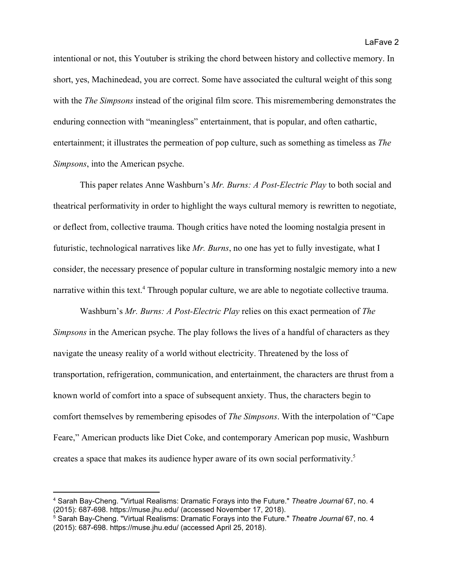intentional or not, this Youtuber is striking the chord between history and collective memory. In short, yes, Machinedead, you are correct. Some have associated the cultural weight of this song with the *The Simpsons* instead of the original film score. This misremembering demonstrates the enduring connection with "meaningless" entertainment, that is popular, and often cathartic, entertainment; it illustrates the permeation of pop culture, such as something as timeless as *The Simpsons*, into the American psyche.

This paper relates Anne Washburn's *Mr. Burns: A Post-Electric Play* to both social and theatrical performativity in order to highlight the ways cultural memory is rewritten to negotiate, or deflect from, collective trauma. Though critics have noted the looming nostalgia present in futuristic, technological narratives like *Mr. Burns*, no one has yet to fully investigate, what I consider, the necessary presence of popular culture in transforming nostalgic memory into a new narrative within this text.<sup>4</sup> Through popular culture, we are able to negotiate collective trauma.

Washburn's *Mr. Burns: A Post-Electric Play* relies on this exact permeation of *The Simpsons* in the American psyche. The play follows the lives of a handful of characters as they navigate the uneasy reality of a world without electricity. Threatened by the loss of transportation, refrigeration, communication, and entertainment, the characters are thrust from a known world of comfort into a space of subsequent anxiety. Thus, the characters begin to comfort themselves by remembering episodes of *The Simpsons*. With the interpolation of "Cape Feare," American products like Diet Coke, and contemporary American pop music, Washburn creates a space that makes its audience hyper aware of its own social performativity.<sup>5</sup>

<sup>4</sup> Sarah Bay-Cheng. "Virtual Realisms: Dramatic Forays into the Future." *Theatre Journal* 67, no. 4 (2015): 687-698. https://muse.jhu.edu/ (accessed November 17, 2018).

<sup>5</sup> Sarah Bay-Cheng. "Virtual Realisms: Dramatic Forays into the Future." *Theatre Journal* 67, no. 4 (2015): 687-698. https://muse.jhu.edu/ (accessed April 25, 2018).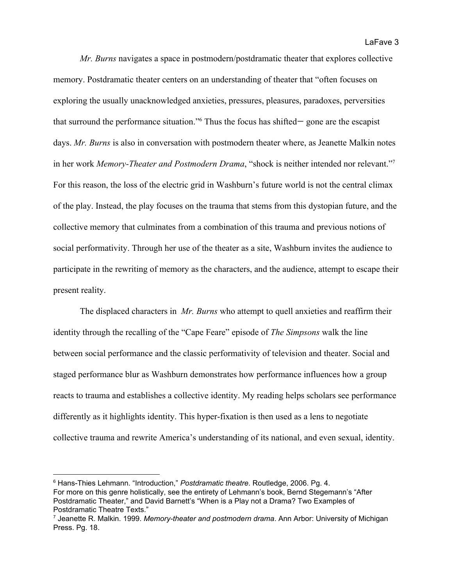*Mr. Burns* navigates a space in postmodern/postdramatic theater that explores collective memory. Postdramatic theater centers on an understanding of theater that "often focuses on exploring the usually unacknowledged anxieties, pressures, pleasures, paradoxes, perversities that surround the performance situation." $6$  Thus the focus has shifted— gone are the escapist days. *Mr. Burns* is also in conversation with postmodern theater where, as Jeanette Malkin notes in her work *Memory-Theater and Postmodern Drama*, "shock is neither intended nor relevant."<sup>7</sup> For this reason, the loss of the electric grid in Washburn's future world is not the central climax of the play. Instead, the play focuses on the trauma that stems from this dystopian future, and the collective memory that culminates from a combination of this trauma and previous notions of social performativity. Through her use of the theater as a site, Washburn invites the audience to participate in the rewriting of memory as the characters, and the audience, attempt to escape their present reality.

The displaced characters in *Mr. Burns* who attempt to quell anxieties and reaffirm their identity through the recalling of the "Cape Feare" episode of *The Simpsons* walk the line between social performance and the classic performativity of television and theater. Social and staged performance blur as Washburn demonstrates how performance influences how a group reacts to trauma and establishes a collective identity. My reading helps scholars see performance differently as it highlights identity. This hyper-fixation is then used as a lens to negotiate collective trauma and rewrite America's understanding of its national, and even sexual, identity.

<sup>6</sup> Hans-Thies Lehmann. "Introduction," *Postdramatic theatre*. Routledge, 2006. Pg. 4. For more on this genre holistically, see the entirety of Lehmann's book, Bernd Stegemann's "After Postdramatic Theater," and David Barnett's "When is a Play not a Drama? Two Examples of Postdramatic Theatre Texts."

<sup>7</sup> Jeanette R. Malkin. 1999. *Memory-theater and postmodern drama*. Ann Arbor: University of Michigan Press. Pg. 18.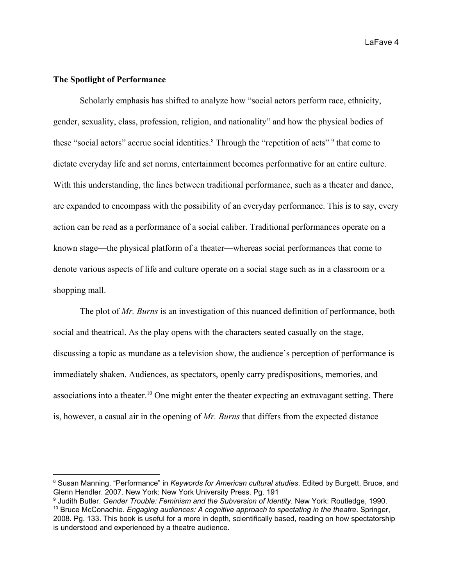LaFave 4

## **The Spotlight of Performance**

Scholarly emphasis has shifted to analyze how "social actors perform race, ethnicity, gender, sexuality, class, profession, religion, and nationality" and how the physical bodies of these "social actors" accrue social identities. $8$  Through the "repetition of acts"  $9$  that come to dictate everyday life and set norms, entertainment becomes performative for an entire culture. With this understanding, the lines between traditional performance, such as a theater and dance, are expanded to encompass with the possibility of an everyday performance. This is to say, every action can be read as a performance of a social caliber. Traditional performances operate on a known stage—the physical platform of a theater—whereas social performances that come to denote various aspects of life and culture operate on a social stage such as in a classroom or a shopping mall.

The plot of *Mr. Burns* is an investigation of this nuanced definition of performance, both social and theatrical. As the play opens with the characters seated casually on the stage, discussing a topic as mundane as a television show, the audience's perception of performance is immediately shaken. Audiences, as spectators, openly carry predispositions, memories, and associations into a theater.<sup>10</sup> One might enter the theater expecting an extravagant setting. There is, however, a casual air in the opening of *Mr. Burns* that differs from the expected distance

<sup>8</sup> Susan Manning. "Performance" in *Keywords for American cultural studies*. Edited by Burgett, Bruce, and Glenn Hendler. 2007. New York: New York University Press. Pg. 191

<sup>9</sup> Judith Butler. *Gender Trouble: Feminism and the Subversion of Identity*. New York: Routledge, 1990.

<sup>10</sup> Bruce McConachie. *Engaging audiences: A cognitive approach to spectating in the theatre*. Springer, 2008. Pg. 133. This book is useful for a more in depth, scientifically based, reading on how spectatorship is understood and experienced by a theatre audience.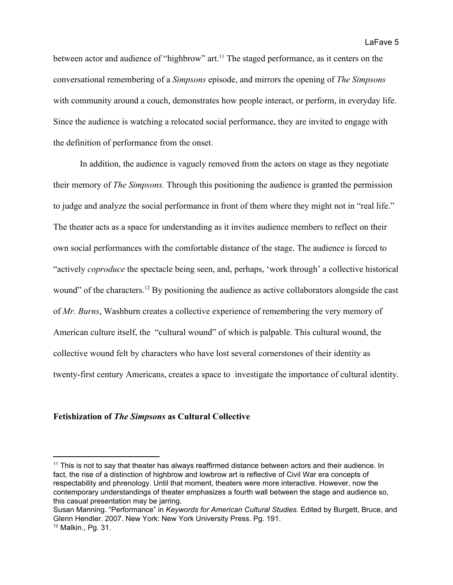between actor and audience of "highbrow" art.<sup>11</sup> The staged performance, as it centers on the conversational remembering of a *Simpsons* episode, and mirrors the opening of *The Simpsons* with community around a couch, demonstrates how people interact, or perform, in everyday life. Since the audience is watching a relocated social performance, they are invited to engage with the definition of performance from the onset.

In addition, the audience is vaguely removed from the actors on stage as they negotiate their memory of *The Simpsons.* Through this positioning the audience is granted the permission to judge and analyze the social performance in front of them where they might not in "real life." The theater acts as a space for understanding as it invites audience members to reflect on their own social performances with the comfortable distance of the stage. The audience is forced to "actively *coproduce* the spectacle being seen, and, perhaps, 'work through' a collective historical wound" of the characters.<sup>12</sup> By positioning the audience as active collaborators alongside the cast of *Mr. Burns*, Washburn creates a collective experience of remembering the very memory of American culture itself, the "cultural wound" of which is palpable. This cultural wound, the collective wound felt by characters who have lost several cornerstones of their identity as twenty-first century Americans, creates a space to investigate the importance of cultural identity.

#### **Fetishization of** *The Simpsons* **as Cultural Collective**

<sup>&</sup>lt;sup>11</sup> This is not to say that theater has always reaffirmed distance between actors and their audience. In fact, the rise of a distinction of highbrow and lowbrow art is reflective of Civil War era concepts of respectability and phrenology. Until that moment, theaters were more interactive. However, now the contemporary understandings of theater emphasizes a fourth wall between the stage and audience so, this casual presentation may be jarring.

Susan Manning. "Performance" in *Keywords for American Cultural Studies*. Edited by Burgett, Bruce, and Glenn Hendler. 2007. New York: New York University Press. Pg. 191.

<sup>12</sup> Malkin., Pg. 31.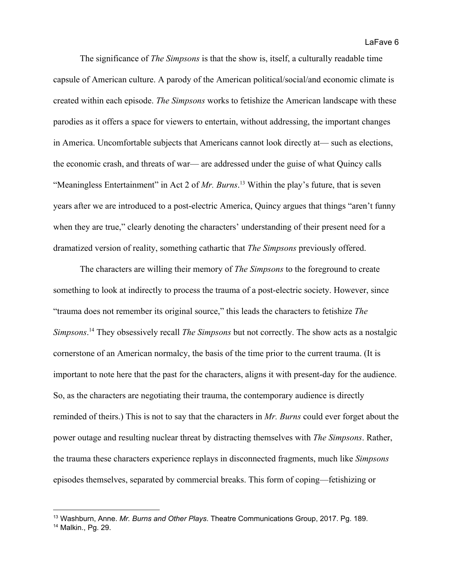The significance of *The Simpsons* is that the show is, itself, a culturally readable time capsule of American culture. A parody of the American political/social/and economic climate is created within each episode. *The Simpsons* works to fetishize the American landscape with these parodies as it offers a space for viewers to entertain, without addressing, the important changes in America. Uncomfortable subjects that Americans cannot look directly at— such as elections, the economic crash, and threats of war— are addressed under the guise of what Quincy calls "Meaningless Entertainment" in Act 2 of *Mr. Burns*.<sup>13</sup> Within the play's future, that is seven years after we are introduced to a post-electric America, Quincy argues that things "aren't funny when they are true," clearly denoting the characters' understanding of their present need for a dramatized version of reality, something cathartic that *The Simpsons* previously offered.

The characters are willing their memory of *The Simpsons* to the foreground to create something to look at indirectly to process the trauma of a post-electric society. However, since "trauma does not remember its original source," this leads the characters to fetishize *The Simpsons*.<sup>14</sup> They obsessively recall *The Simpsons* but not correctly. The show acts as a nostalgic cornerstone of an American normalcy, the basis of the time prior to the current trauma. (It is important to note here that the past for the characters, aligns it with present-day for the audience. So, as the characters are negotiating their trauma, the contemporary audience is directly reminded of theirs.) This is not to say that the characters in *Mr. Burns* could ever forget about the power outage and resulting nuclear threat by distracting themselves with *The Simpsons*. Rather, the trauma these characters experience replays in disconnected fragments, much like *Simpsons* episodes themselves, separated by commercial breaks. This form of coping—fetishizing or

<sup>13</sup> Washburn, Anne. *Mr. Burns and Other Plays*. Theatre Communications Group, 2017. Pg. 189.

<sup>14</sup> Malkin., Pg. 29.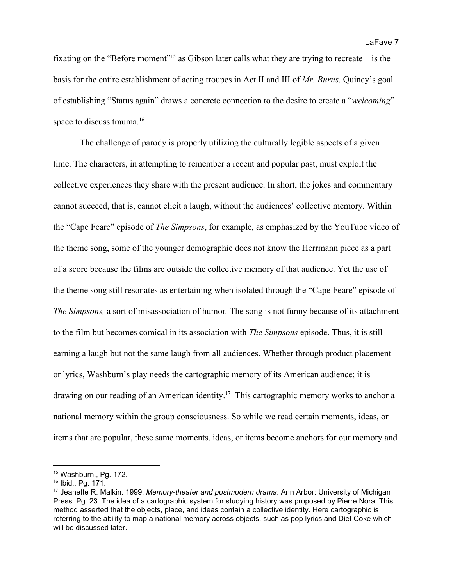fixating on the "Before moment"<sup>15</sup> as Gibson later calls what they are trying to recreate—is the basis for the entire establishment of acting troupes in Act II and III of *Mr. Burns*. Quincy's goal of establishing "Status again" draws a concrete connection to the desire to create a "*welcoming*" space to discuss trauma.<sup>16</sup>

The challenge of parody is properly utilizing the culturally legible aspects of a given time. The characters, in attempting to remember a recent and popular past, must exploit the collective experiences they share with the present audience. In short, the jokes and commentary cannot succeed, that is, cannot elicit a laugh, without the audiences' collective memory. Within the "Cape Feare" episode of *The Simpsons*, for example, as emphasized by the YouTube video of the theme song, some of the younger demographic does not know the Herrmann piece as a part of a score because the films are outside the collective memory of that audience. Yet the use of the theme song still resonates as entertaining when isolated through the "Cape Feare" episode of *The Simpsons,* a sort of misassociation of humor*.* The song is not funny because of its attachment to the film but becomes comical in its association with *The Simpsons* episode. Thus, it is still earning a laugh but not the same laugh from all audiences. Whether through product placement or lyrics, Washburn's play needs the cartographic memory of its American audience; it is drawing on our reading of an American identity.<sup>17</sup> This cartographic memory works to anchor a national memory within the group consciousness. So while we read certain moments, ideas, or items that are popular, these same moments, ideas, or items become anchors for our memory and

<sup>15</sup> Washburn., Pg. 172.

<sup>16</sup> Ibid., Pg. 171.

<sup>17</sup> Jeanette R. Malkin. 1999. *Memory-theater and postmodern drama*. Ann Arbor: University of Michigan Press. Pg. 23. The idea of a cartographic system for studying history was proposed by Pierre Nora. This method asserted that the objects, place, and ideas contain a collective identity. Here cartographic is referring to the ability to map a national memory across objects, such as pop lyrics and Diet Coke which will be discussed later.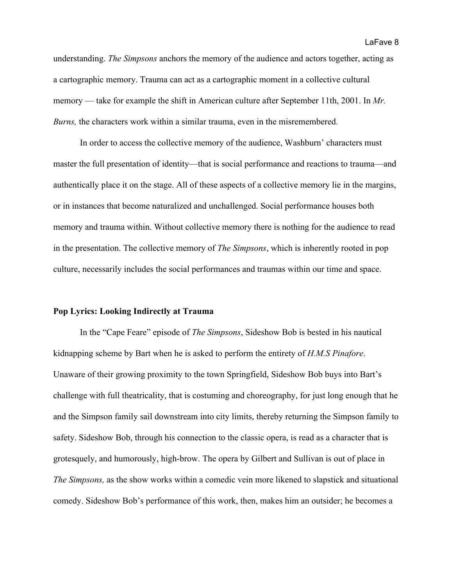understanding. *The Simpsons* anchors the memory of the audience and actors together, acting as a cartographic memory. Trauma can act as a cartographic moment in a collective cultural memory — take for example the shift in American culture after September 11th, 2001. In *Mr. Burns,* the characters work within a similar trauma, even in the misremembered.

In order to access the collective memory of the audience, Washburn' characters must master the full presentation of identity—that is social performance and reactions to trauma—and authentically place it on the stage. All of these aspects of a collective memory lie in the margins, or in instances that become naturalized and unchallenged. Social performance houses both memory and trauma within. Without collective memory there is nothing for the audience to read in the presentation. The collective memory of *The Simpsons*, which is inherently rooted in pop culture, necessarily includes the social performances and traumas within our time and space.

#### **Pop Lyrics: Looking Indirectly at Trauma**

In the "Cape Feare" episode of *The Simpsons*, Sideshow Bob is bested in his nautical kidnapping scheme by Bart when he is asked to perform the entirety of *H.M.S Pinafore*. Unaware of their growing proximity to the town Springfield, Sideshow Bob buys into Bart's challenge with full theatricality, that is costuming and choreography, for just long enough that he and the Simpson family sail downstream into city limits, thereby returning the Simpson family to safety. Sideshow Bob, through his connection to the classic opera, is read as a character that is grotesquely, and humorously, high-brow. The opera by Gilbert and Sullivan is out of place in *The Simpsons,* as the show works within a comedic vein more likened to slapstick and situational comedy. Sideshow Bob's performance of this work, then, makes him an outsider; he becomes a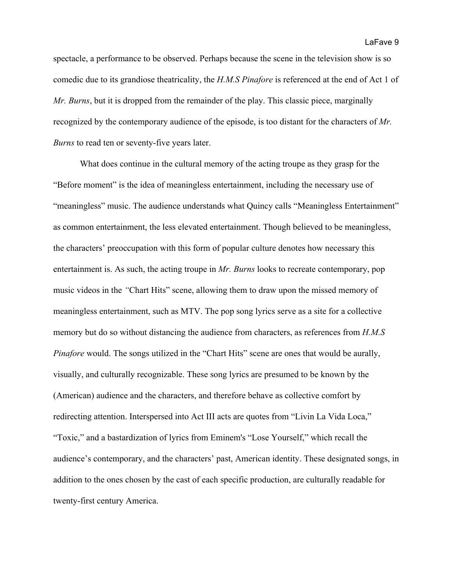spectacle, a performance to be observed. Perhaps because the scene in the television show is so comedic due to its grandiose theatricality, the *H.M.S Pinafore* is referenced at the end of Act 1 of *Mr. Burns*, but it is dropped from the remainder of the play. This classic piece, marginally recognized by the contemporary audience of the episode, is too distant for the characters of *Mr. Burns* to read ten or seventy-five years later.

What does continue in the cultural memory of the acting troupe as they grasp for the "Before moment" is the idea of meaningless entertainment, including the necessary use of "meaningless" music. The audience understands what Quincy calls "Meaningless Entertainment" as common entertainment, the less elevated entertainment. Though believed to be meaningless, the characters' preoccupation with this form of popular culture denotes how necessary this entertainment is. As such, the acting troupe in *Mr. Burns* looks to recreate contemporary, pop music videos in the *"*Chart Hits" scene, allowing them to draw upon the missed memory of meaningless entertainment, such as MTV. The pop song lyrics serve as a site for a collective memory but do so without distancing the audience from characters, as references from *H.M.S Pinafore* would. The songs utilized in the "Chart Hits" scene are ones that would be aurally, visually, and culturally recognizable. These song lyrics are presumed to be known by the (American) audience and the characters, and therefore behave as collective comfort by redirecting attention. Interspersed into Act III acts are quotes from "Livin La Vida Loca," "Toxic," and a bastardization of lyrics from Eminem's "Lose Yourself," which recall the audience's contemporary, and the characters' past, American identity. These designated songs, in addition to the ones chosen by the cast of each specific production, are culturally readable for twenty-first century America.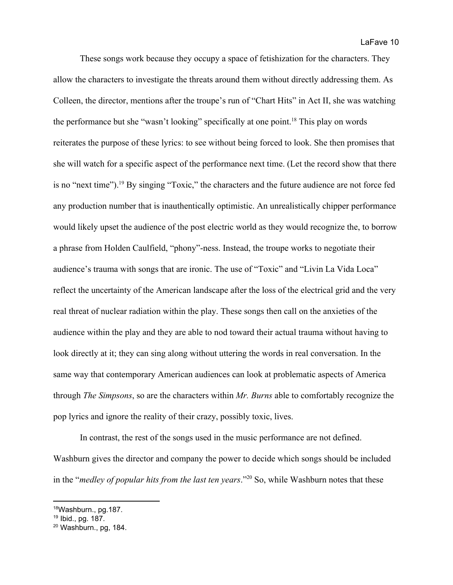These songs work because they occupy a space of fetishization for the characters. They allow the characters to investigate the threats around them without directly addressing them. As Colleen, the director, mentions after the troupe's run of "Chart Hits" in Act II, she was watching the performance but she "wasn't looking" specifically at one point.<sup>18</sup> This play on words reiterates the purpose of these lyrics: to see without being forced to look. She then promises that she will watch for a specific aspect of the performance next time. (Let the record show that there is no "next time"). <sup>19</sup> By singing "Toxic," the characters and the future audience are not force fed any production number that is inauthentically optimistic. An unrealistically chipper performance would likely upset the audience of the post electric world as they would recognize the, to borrow a phrase from Holden Caulfield, "phony"-ness. Instead, the troupe works to negotiate their audience's trauma with songs that are ironic. The use of "Toxic" and "Livin La Vida Loca" reflect the uncertainty of the American landscape after the loss of the electrical grid and the very real threat of nuclear radiation within the play. These songs then call on the anxieties of the audience within the play and they are able to nod toward their actual trauma without having to look directly at it; they can sing along without uttering the words in real conversation. In the same way that contemporary American audiences can look at problematic aspects of America through *The Simpsons*, so are the characters within *Mr. Burns* able to comfortably recognize the pop lyrics and ignore the reality of their crazy, possibly toxic, lives.

In contrast, the rest of the songs used in the music performance are not defined. Washburn gives the director and company the power to decide which songs should be included in the "*medley of popular hits from the last ten years*."<sup>20</sup> So, while Washburn notes that these

<sup>18</sup>Washburn., pg.187.

<sup>19</sup> Ibid., pg. 187.

<sup>20</sup> Washburn., pg, 184.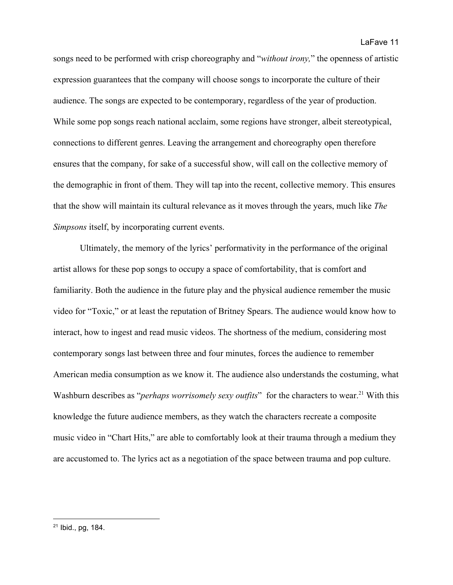songs need to be performed with crisp choreography and "*without irony,*" the openness of artistic expression guarantees that the company will choose songs to incorporate the culture of their audience. The songs are expected to be contemporary, regardless of the year of production. While some pop songs reach national acclaim, some regions have stronger, albeit stereotypical, connections to different genres. Leaving the arrangement and choreography open therefore ensures that the company, for sake of a successful show, will call on the collective memory of the demographic in front of them. They will tap into the recent, collective memory. This ensures that the show will maintain its cultural relevance as it moves through the years, much like *The Simpsons* itself, by incorporating current events.

Ultimately, the memory of the lyrics' performativity in the performance of the original artist allows for these pop songs to occupy a space of comfortability, that is comfort and familiarity. Both the audience in the future play and the physical audience remember the music video for "Toxic," or at least the reputation of Britney Spears. The audience would know how to interact, how to ingest and read music videos. The shortness of the medium, considering most contemporary songs last between three and four minutes, forces the audience to remember American media consumption as we know it. The audience also understands the costuming, what Washburn describes as "*perhaps worrisomely sexy outfits*" for the characters to wear.<sup>21</sup> With this knowledge the future audience members, as they watch the characters recreate a composite music video in "Chart Hits," are able to comfortably look at their trauma through a medium they are accustomed to. The lyrics act as a negotiation of the space between trauma and pop culture.

<sup>21</sup> Ibid., pg, 184.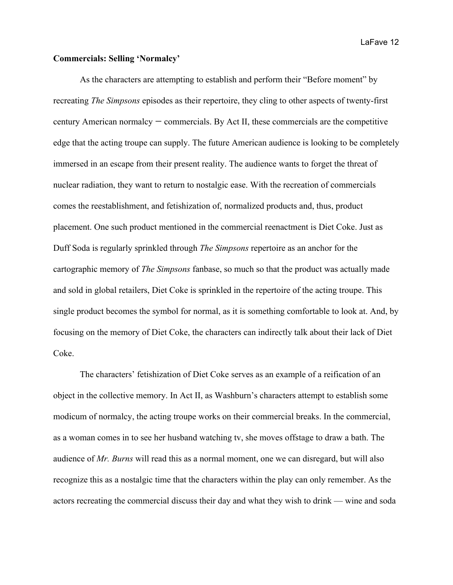LaFave 12

## **Commercials: Selling 'Normalcy'**

As the characters are attempting to establish and perform their "Before moment" by recreating *The Simpsons* episodes as their repertoire, they cling to other aspects of twenty-first century American normalcy — commercials. By Act II, these commercials are the competitive edge that the acting troupe can supply. The future American audience is looking to be completely immersed in an escape from their present reality. The audience wants to forget the threat of nuclear radiation, they want to return to nostalgic ease. With the recreation of commercials comes the reestablishment, and fetishization of, normalized products and, thus, product placement. One such product mentioned in the commercial reenactment is Diet Coke. Just as Duff Soda is regularly sprinkled through *The Simpsons* repertoire as an anchor for the cartographic memory of *The Simpsons* fanbase, so much so that the product was actually made and sold in global retailers, Diet Coke is sprinkled in the repertoire of the acting troupe. This single product becomes the symbol for normal, as it is something comfortable to look at. And, by focusing on the memory of Diet Coke, the characters can indirectly talk about their lack of Diet Coke.

The characters' fetishization of Diet Coke serves as an example of a reification of an object in the collective memory. In Act II, as Washburn's characters attempt to establish some modicum of normalcy, the acting troupe works on their commercial breaks. In the commercial, as a woman comes in to see her husband watching tv, she moves offstage to draw a bath. The audience of *Mr. Burns* will read this as a normal moment, one we can disregard, but will also recognize this as a nostalgic time that the characters within the play can only remember. As the actors recreating the commercial discuss their day and what they wish to drink — wine and soda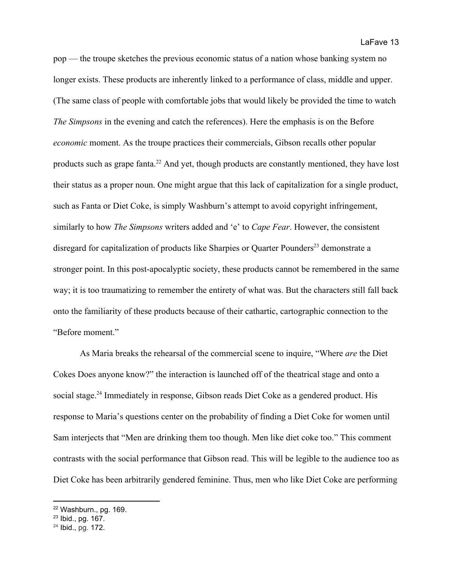pop — the troupe sketches the previous economic status of a nation whose banking system no longer exists. These products are inherently linked to a performance of class, middle and upper. (The same class of people with comfortable jobs that would likely be provided the time to watch *The Simpsons* in the evening and catch the references). Here the emphasis is on the Before *economic* moment. As the troupe practices their commercials, Gibson recalls other popular products such as grape fanta.<sup>22</sup> And yet, though products are constantly mentioned, they have lost their status as a proper noun. One might argue that this lack of capitalization for a single product, such as Fanta or Diet Coke, is simply Washburn's attempt to avoid copyright infringement, similarly to how *The Simpsons* writers added and 'e' to *Cape Fear*. However, the consistent disregard for capitalization of products like Sharpies or Quarter Pounders<sup>23</sup> demonstrate a stronger point. In this post-apocalyptic society, these products cannot be remembered in the same way; it is too traumatizing to remember the entirety of what was. But the characters still fall back onto the familiarity of these products because of their cathartic, cartographic connection to the "Before moment."

As Maria breaks the rehearsal of the commercial scene to inquire, "Where *are* the Diet Cokes Does anyone know?" the interaction is launched off of the theatrical stage and onto a social stage.<sup>24</sup> Immediately in response, Gibson reads Diet Coke as a gendered product. His response to Maria's questions center on the probability of finding a Diet Coke for women until Sam interjects that "Men are drinking them too though. Men like diet coke too." This comment contrasts with the social performance that Gibson read. This will be legible to the audience too as Diet Coke has been arbitrarily gendered feminine. Thus, men who like Diet Coke are performing

<sup>22</sup> Washburn., pg. 169.

<sup>23</sup> Ibid., pg. 167.

<sup>24</sup> Ibid., pg. 172.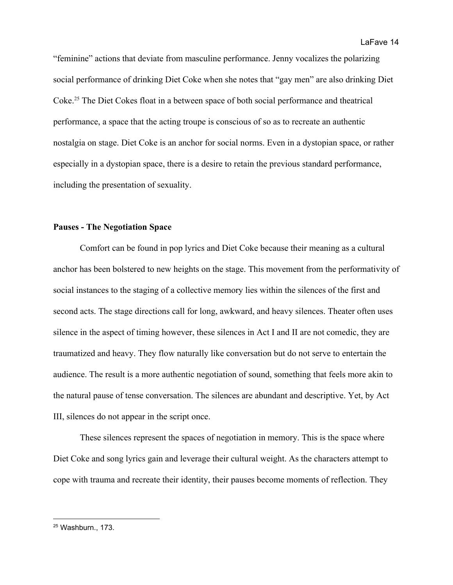LaFave 14

"feminine" actions that deviate from masculine performance. Jenny vocalizes the polarizing social performance of drinking Diet Coke when she notes that "gay men" are also drinking Diet Coke.<sup>25</sup> The Diet Cokes float in a between space of both social performance and theatrical performance, a space that the acting troupe is conscious of so as to recreate an authentic nostalgia on stage. Diet Coke is an anchor for social norms. Even in a dystopian space, or rather especially in a dystopian space, there is a desire to retain the previous standard performance, including the presentation of sexuality.

# **Pauses - The Negotiation Space**

Comfort can be found in pop lyrics and Diet Coke because their meaning as a cultural anchor has been bolstered to new heights on the stage. This movement from the performativity of social instances to the staging of a collective memory lies within the silences of the first and second acts. The stage directions call for long, awkward, and heavy silences. Theater often uses silence in the aspect of timing however, these silences in Act I and II are not comedic, they are traumatized and heavy. They flow naturally like conversation but do not serve to entertain the audience. The result is a more authentic negotiation of sound, something that feels more akin to the natural pause of tense conversation. The silences are abundant and descriptive. Yet, by Act III, silences do not appear in the script once.

These silences represent the spaces of negotiation in memory. This is the space where Diet Coke and song lyrics gain and leverage their cultural weight. As the characters attempt to cope with trauma and recreate their identity, their pauses become moments of reflection. They

<sup>25</sup> Washburn., 173.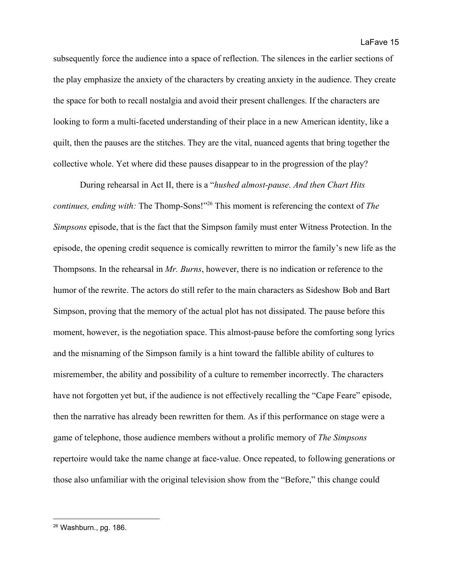subsequently force the audience into a space of reflection. The silences in the earlier sections of the play emphasize the anxiety of the characters by creating anxiety in the audience. They create the space for both to recall nostalgia and avoid their present challenges. If the characters are looking to form a multi-faceted understanding of their place in a new American identity, like a quilt, then the pauses are the stitches. They are the vital, nuanced agents that bring together the collective whole. Yet where did these pauses disappear to in the progression of the play?

During rehearsal in Act II, there is a "*hushed almost-pause*. *And then Chart Hits continues, ending with:* The Thomp-Sons!"<sup>26</sup> This moment is referencing the context of *The Simpsons* episode, that is the fact that the Simpson family must enter Witness Protection. In the episode, the opening credit sequence is comically rewritten to mirror the family's new life as the Thompsons. In the rehearsal in *Mr. Burns*, however, there is no indication or reference to the humor of the rewrite. The actors do still refer to the main characters as Sideshow Bob and Bart Simpson, proving that the memory of the actual plot has not dissipated. The pause before this moment, however, is the negotiation space. This almost-pause before the comforting song lyrics and the misnaming of the Simpson family is a hint toward the fallible ability of cultures to misremember, the ability and possibility of a culture to remember incorrectly. The characters have not forgotten yet but, if the audience is not effectively recalling the "Cape Feare" episode, then the narrative has already been rewritten for them. As if this performance on stage were a game of telephone, those audience members without a prolific memory of *The Simpsons* repertoire would take the name change at face-value. Once repeated, to following generations or those also unfamiliar with the original television show from the "Before," this change could

<sup>26</sup> Washburn., pg. 186.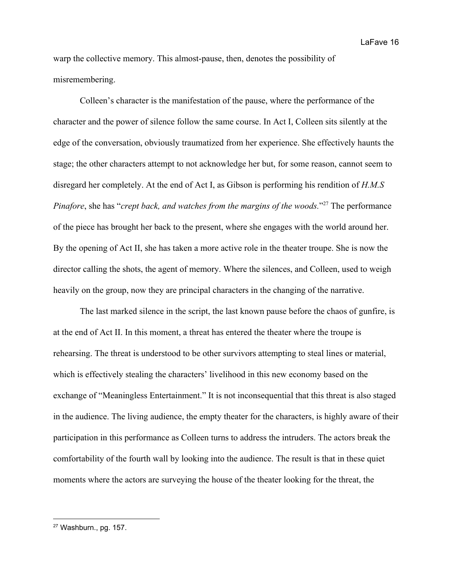warp the collective memory. This almost-pause, then, denotes the possibility of misremembering.

Colleen's character is the manifestation of the pause, where the performance of the character and the power of silence follow the same course. In Act I, Colleen sits silently at the edge of the conversation, obviously traumatized from her experience. She effectively haunts the stage; the other characters attempt to not acknowledge her but, for some reason, cannot seem to disregard her completely. At the end of Act I, as Gibson is performing his rendition of *H.M.S Pinafore*, she has "*crept back, and watches from the margins of the woods.*"<sup>27</sup> The performance of the piece has brought her back to the present, where she engages with the world around her. By the opening of Act II, she has taken a more active role in the theater troupe. She is now the director calling the shots, the agent of memory. Where the silences, and Colleen, used to weigh heavily on the group, now they are principal characters in the changing of the narrative.

The last marked silence in the script, the last known pause before the chaos of gunfire, is at the end of Act II. In this moment, a threat has entered the theater where the troupe is rehearsing. The threat is understood to be other survivors attempting to steal lines or material, which is effectively stealing the characters' livelihood in this new economy based on the exchange of "Meaningless Entertainment." It is not inconsequential that this threat is also staged in the audience. The living audience, the empty theater for the characters, is highly aware of their participation in this performance as Colleen turns to address the intruders. The actors break the comfortability of the fourth wall by looking into the audience. The result is that in these quiet moments where the actors are surveying the house of the theater looking for the threat, the

<sup>27</sup> Washburn., pg. 157.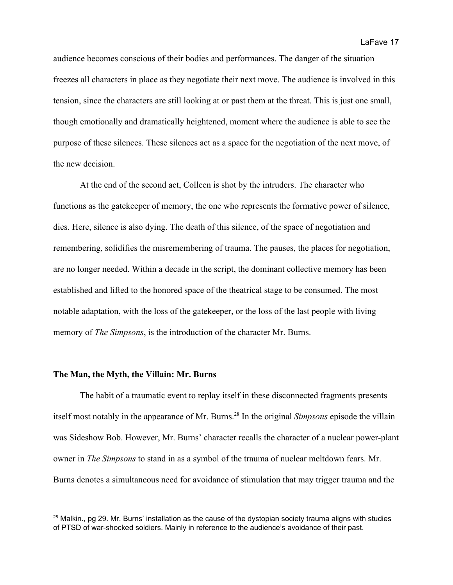audience becomes conscious of their bodies and performances. The danger of the situation freezes all characters in place as they negotiate their next move. The audience is involved in this tension, since the characters are still looking at or past them at the threat. This is just one small, though emotionally and dramatically heightened, moment where the audience is able to see the purpose of these silences. These silences act as a space for the negotiation of the next move, of the new decision.

At the end of the second act, Colleen is shot by the intruders. The character who functions as the gatekeeper of memory, the one who represents the formative power of silence, dies. Here, silence is also dying. The death of this silence, of the space of negotiation and remembering, solidifies the misremembering of trauma. The pauses, the places for negotiation, are no longer needed. Within a decade in the script, the dominant collective memory has been established and lifted to the honored space of the theatrical stage to be consumed. The most notable adaptation, with the loss of the gatekeeper, or the loss of the last people with living memory of *The Simpsons*, is the introduction of the character Mr. Burns.

## **The Man, the Myth, the Villain: Mr. Burns**

The habit of a traumatic event to replay itself in these disconnected fragments presents itself most notably in the appearance of Mr. Burns.<sup>28</sup> In the original *Simpsons* episode the villain was Sideshow Bob. However, Mr. Burns' character recalls the character of a nuclear power-plant owner in *The Simpsons* to stand in as a symbol of the trauma of nuclear meltdown fears. Mr. Burns denotes a simultaneous need for avoidance of stimulation that may trigger trauma and the

 $28$  Malkin., pg 29. Mr. Burns' installation as the cause of the dystopian society trauma aligns with studies of PTSD of war-shocked soldiers. Mainly in reference to the audience's avoidance of their past.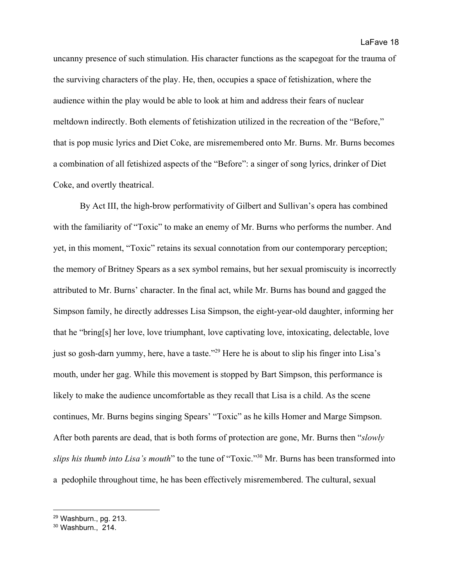uncanny presence of such stimulation. His character functions as the scapegoat for the trauma of the surviving characters of the play. He, then, occupies a space of fetishization, where the audience within the play would be able to look at him and address their fears of nuclear meltdown indirectly. Both elements of fetishization utilized in the recreation of the "Before," that is pop music lyrics and Diet Coke, are misremembered onto Mr. Burns. Mr. Burns becomes a combination of all fetishized aspects of the "Before": a singer of song lyrics, drinker of Diet Coke, and overtly theatrical.

By Act III, the high-brow performativity of Gilbert and Sullivan's opera has combined with the familiarity of "Toxic" to make an enemy of Mr. Burns who performs the number. And yet, in this moment, "Toxic" retains its sexual connotation from our contemporary perception; the memory of Britney Spears as a sex symbol remains, but her sexual promiscuity is incorrectly attributed to Mr. Burns' character. In the final act, while Mr. Burns has bound and gagged the Simpson family, he directly addresses Lisa Simpson, the eight-year-old daughter, informing her that he "bring[s] her love, love triumphant, love captivating love, intoxicating, delectable, love just so gosh-darn yummy, here, have a taste."<sup>29</sup> Here he is about to slip his finger into Lisa's mouth, under her gag. While this movement is stopped by Bart Simpson, this performance is likely to make the audience uncomfortable as they recall that Lisa is a child. As the scene continues, Mr. Burns begins singing Spears' "Toxic" as he kills Homer and Marge Simpson. After both parents are dead, that is both forms of protection are gone, Mr. Burns then "*slowly slips his thumb into Lisa's mouth*" to the tune of "Toxic."<sup>30</sup> Mr. Burns has been transformed into a pedophile throughout time, he has been effectively misremembered. The cultural, sexual

<sup>29</sup> Washburn., pg. 213.

 $30$  Washburn., 214.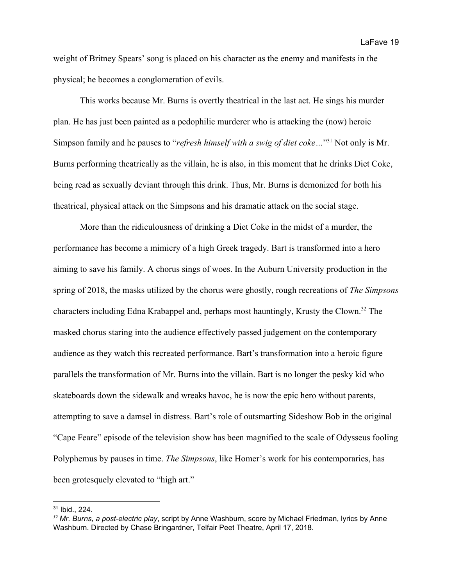weight of Britney Spears' song is placed on his character as the enemy and manifests in the physical; he becomes a conglomeration of evils.

This works because Mr. Burns is overtly theatrical in the last act. He sings his murder plan. He has just been painted as a pedophilic murderer who is attacking the (now) heroic Simpson family and he pauses to "*refresh himself with a swig of diet coke*..."<sup>31</sup> Not only is Mr. Burns performing theatrically as the villain, he is also, in this moment that he drinks Diet Coke, being read as sexually deviant through this drink. Thus, Mr. Burns is demonized for both his theatrical, physical attack on the Simpsons and his dramatic attack on the social stage.

More than the ridiculousness of drinking a Diet Coke in the midst of a murder, the performance has become a mimicry of a high Greek tragedy. Bart is transformed into a hero aiming to save his family. A chorus sings of woes. In the Auburn University production in the spring of 2018, the masks utilized by the chorus were ghostly, rough recreations of *The Simpsons* characters including Edna Krabappel and, perhaps most hauntingly, Krusty the Clown.<sup>32</sup> The masked chorus staring into the audience effectively passed judgement on the contemporary audience as they watch this recreated performance. Bart's transformation into a heroic figure parallels the transformation of Mr. Burns into the villain. Bart is no longer the pesky kid who skateboards down the sidewalk and wreaks havoc, he is now the epic hero without parents, attempting to save a damsel in distress. Bart's role of outsmarting Sideshow Bob in the original "Cape Feare" episode of the television show has been magnified to the scale of Odysseus fooling Polyphemus by pauses in time. *The Simpsons*, like Homer's work for his contemporaries, has been grotesquely elevated to "high art."

<sup>31</sup> Ibid., 224.

*<sup>32</sup> Mr. Burns, a post-electric play*, script by Anne Washburn, score by Michael Friedman, lyrics by Anne Washburn. Directed by Chase Bringardner, Telfair Peet Theatre, April 17, 2018.